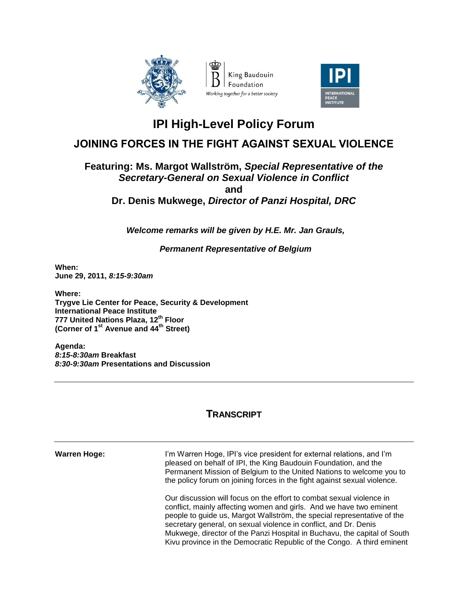



## **IPI High-Level Policy Forum**

## **JOINING FORCES IN THE FIGHT AGAINST SEXUAL VIOLENCE**

## **Featuring: Ms. Margot Wallström,** *Special Representative of the Secretary-General on Sexual Violence in Conflict* **and Dr. Denis Mukwege,** *Director of Panzi Hospital, DRC*

*Welcome remarks will be given by H.E. Mr. Jan Grauls,* 

*Permanent Representative of Belgium*

**When: June 29, 2011,** *8:15-9:30am*

**Where: Trygve Lie Center for Peace, Security & Development International Peace Institute 777 United Nations Plaza, 12th Floor (Corner of 1st Avenue and 44th Street)**

**Agenda:** *8:15-8:30am* **Breakfast** *8:30-9:30am* **Presentations and Discussion**

## **TRANSCRIPT**

**Warren Hoge:** I'm Warren Hoge, IPI's vice president for external relations, and I'm pleased on behalf of IPI, the King Baudouin Foundation, and the Permanent Mission of Belgium to the United Nations to welcome you to the policy forum on joining forces in the fight against sexual violence.

> Our discussion will focus on the effort to combat sexual violence in conflict, mainly affecting women and girls. And we have two eminent people to guide us, Margot Wallström, the special representative of the secretary general, on sexual violence in conflict, and Dr. Denis Mukwege, director of the Panzi Hospital in Buchavu, the capital of South Kivu province in the Democratic Republic of the Congo. A third eminent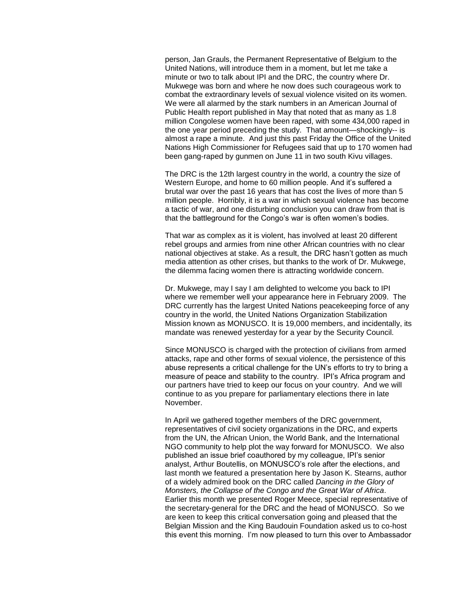person, Jan Grauls, the Permanent Representative of Belgium to the United Nations, will introduce them in a moment, but let me take a minute or two to talk about IPI and the DRC, the country where Dr. Mukwege was born and where he now does such courageous work to combat the extraordinary levels of sexual violence visited on its women. We were all alarmed by the stark numbers in an American Journal of Public Health report published in May that noted that as many as 1.8 million Congolese women have been raped, with some 434,000 raped in the one year period preceding the study. That amount—shockingly-- is almost a rape a minute. And just this past Friday the Office of the United Nations High Commissioner for Refugees said that up to 170 women had been gang-raped by gunmen on June 11 in two south Kivu villages.

The DRC is the 12th largest country in the world, a country the size of Western Europe, and home to 60 million people. And it's suffered a brutal war over the past 16 years that has cost the lives of more than 5 million people. Horribly, it is a war in which sexual violence has become a tactic of war, and one disturbing conclusion you can draw from that is that the battleground for the Congo's war is often women's bodies.

That war as complex as it is violent, has involved at least 20 different rebel groups and armies from nine other African countries with no clear national objectives at stake. As a result, the DRC hasn't gotten as much media attention as other crises, but thanks to the work of Dr. Mukwege, the dilemma facing women there is attracting worldwide concern.

Dr. Mukwege, may I say I am delighted to welcome you back to IPI where we remember well your appearance here in February 2009. The DRC currently has the largest United Nations peacekeeping force of any country in the world, the United Nations Organization Stabilization Mission known as MONUSCO. It is 19,000 members, and incidentally, its mandate was renewed yesterday for a year by the Security Council.

Since MONUSCO is charged with the protection of civilians from armed attacks, rape and other forms of sexual violence, the persistence of this abuse represents a critical challenge for the UN's efforts to try to bring a measure of peace and stability to the country. IPI's Africa program and our partners have tried to keep our focus on your country. And we will continue to as you prepare for parliamentary elections there in late November.

In April we gathered together members of the DRC government, representatives of civil society organizations in the DRC, and experts from the UN, the African Union, the World Bank, and the International NGO community to help plot the way forward for MONUSCO. We also published an issue brief coauthored by my colleague, IPI's senior analyst, Arthur Boutellis, on MONUSCO's role after the elections, and last month we featured a presentation here by Jason K. Stearns, author of a widely admired book on the DRC called *Dancing in the Glory of Monsters, the Collapse of the Congo and the Great War of Africa*. Earlier this month we presented Roger Meece, special representative of the secretary-general for the DRC and the head of MONUSCO. So we are keen to keep this critical conversation going and pleased that the Belgian Mission and the King Baudouin Foundation asked us to co-host this event this morning. I'm now pleased to turn this over to Ambassador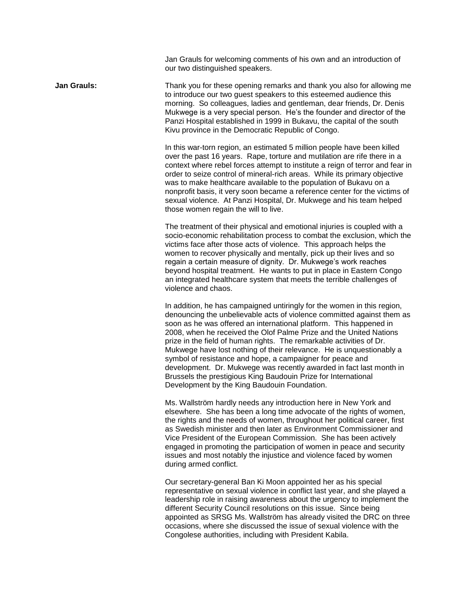Jan Grauls for welcoming comments of his own and an introduction of our two distinguished speakers.

**Jan Grauls:** Thank you for these opening remarks and thank you also for allowing me to introduce our two guest speakers to this esteemed audience this morning. So colleagues, ladies and gentleman, dear friends, Dr. Denis Mukwege is a very special person. He's the founder and director of the Panzi Hospital established in 1999 in Bukavu, the capital of the south Kivu province in the Democratic Republic of Congo.

> In this war-torn region, an estimated 5 million people have been killed over the past 16 years. Rape, torture and mutilation are rife there in a context where rebel forces attempt to institute a reign of terror and fear in order to seize control of mineral-rich areas. While its primary objective was to make healthcare available to the population of Bukavu on a nonprofit basis, it very soon became a reference center for the victims of sexual violence. At Panzi Hospital, Dr. Mukwege and his team helped those women regain the will to live.

> The treatment of their physical and emotional injuries is coupled with a socio-economic rehabilitation process to combat the exclusion, which the victims face after those acts of violence. This approach helps the women to recover physically and mentally, pick up their lives and so regain a certain measure of dignity. Dr. Mukwege's work reaches beyond hospital treatment. He wants to put in place in Eastern Congo an integrated healthcare system that meets the terrible challenges of violence and chaos.

> In addition, he has campaigned untiringly for the women in this region, denouncing the unbelievable acts of violence committed against them as soon as he was offered an international platform. This happened in 2008, when he received the Olof Palme Prize and the United Nations prize in the field of human rights. The remarkable activities of Dr. Mukwege have lost nothing of their relevance. He is unquestionably a symbol of resistance and hope, a campaigner for peace and development. Dr. Mukwege was recently awarded in fact last month in Brussels the prestigious King Baudouin Prize for International Development by the King Baudouin Foundation.

Ms. Wallström hardly needs any introduction here in New York and elsewhere. She has been a long time advocate of the rights of women, the rights and the needs of women, throughout her political career, first as Swedish minister and then later as Environment Commissioner and Vice President of the European Commission. She has been actively engaged in promoting the participation of women in peace and security issues and most notably the injustice and violence faced by women during armed conflict.

Our secretary-general Ban Ki Moon appointed her as his special representative on sexual violence in conflict last year, and she played a leadership role in raising awareness about the urgency to implement the different Security Council resolutions on this issue. Since being appointed as SRSG Ms. Wallström has already visited the DRC on three occasions, where she discussed the issue of sexual violence with the Congolese authorities, including with President Kabila.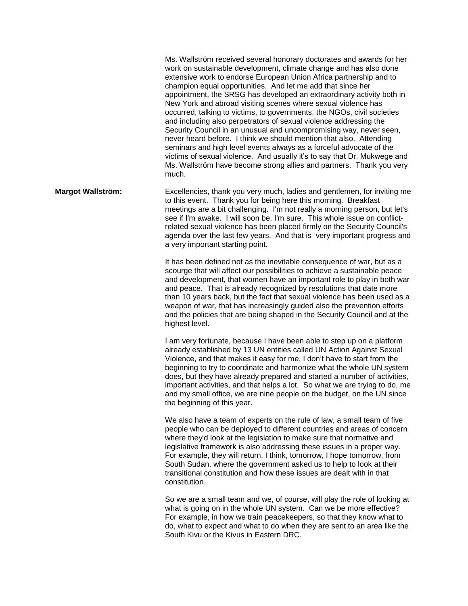Ms. Wallström received several honorary doctorates and awards for her work on sustainable development, climate change and has also done extensive work to endorse European Union Africa partnership and to champion equal opportunities. And let me add that since her appointment, the SRSG has developed an extraordinary activity both in New York and abroad visiting scenes where sexual violence has occurred, talking to victims, to governments, the NGOs, civil societies and including also perpetrators of sexual violence addressing the Security Council in an unusual and uncompromising way, never seen, never heard before. I think we should mention that also. Attending seminars and high level events always as a forceful advocate of the victims of sexual violence. And usually it's to say that Dr. Mukwege and Ms. Wallström have become strong allies and partners. Thank you very much.

**Margot Wallström:** Excellencies, thank you very much, ladies and gentlemen, for inviting me to this event. Thank you for being here this morning. Breakfast meetings are a bit challenging. I'm not really a morning person, but let's see if I'm awake. I will soon be, I'm sure. This whole issue on conflictrelated sexual violence has been placed firmly on the Security Council's agenda over the last few years. And that is very important progress and a very important starting point.

> It has been defined not as the inevitable consequence of war, but as a scourge that will affect our possibilities to achieve a sustainable peace and development, that women have an important role to play in both war and peace. That is already recognized by resolutions that date more than 10 years back, but the fact that sexual violence has been used as a weapon of war, that has increasingly guided also the prevention efforts and the policies that are being shaped in the Security Council and at the highest level.

> I am very fortunate, because I have been able to step up on a platform already established by 13 UN entities called UN Action Against Sexual Violence, and that makes it easy for me, I don't have to start from the beginning to try to coordinate and harmonize what the whole UN system does, but they have already prepared and started a number of activities, important activities, and that helps a lot. So what we are trying to do, me and my small office, we are nine people on the budget, on the UN since the beginning of this year.

We also have a team of experts on the rule of law, a small team of five people who can be deployed to different countries and areas of concern where they'd look at the legislation to make sure that normative and legislative framework is also addressing these issues in a proper way. For example, they will return, I think, tomorrow, I hope tomorrow, from South Sudan, where the government asked us to help to look at their transitional constitution and how these issues are dealt with in that constitution.

So we are a small team and we, of course, will play the role of looking at what is going on in the whole UN system. Can we be more effective? For example, in how we train peacekeepers, so that they know what to do, what to expect and what to do when they are sent to an area like the South Kivu or the Kivus in Eastern DRC.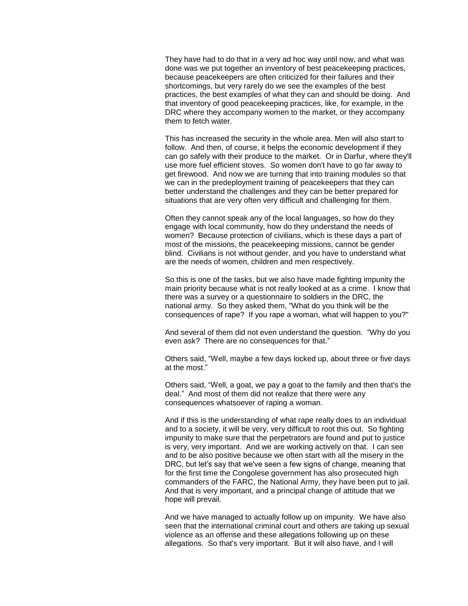They have had to do that in a very ad hoc way until now, and what was done was we put together an inventory of best peacekeeping practices, because peacekeepers are often criticized for their failures and their shortcomings, but very rarely do we see the examples of the best practices, the best examples of what they can and should be doing. And that inventory of good peacekeeping practices, like, for example, in the DRC where they accompany women to the market, or they accompany them to fetch water.

This has increased the security in the whole area. Men will also start to follow. And then, of course, it helps the economic development if they can go safely with their produce to the market. Or in Darfur, where they'll use more fuel efficient stoves. So women don't have to go far away to get firewood. And now we are turning that into training modules so that we can in the predeployment training of peacekeepers that they can better understand the challenges and they can be better prepared for situations that are very often very difficult and challenging for them.

Often they cannot speak any of the local languages, so how do they engage with local community, how do they understand the needs of women? Because protection of civilians, which is these days a part of most of the missions, the peacekeeping missions, cannot be gender blind. Civilians is not without gender, and you have to understand what are the needs of women, children and men respectively.

So this is one of the tasks, but we also have made fighting impunity the main priority because what is not really looked at as a crime. I know that there was a survey or a questionnaire to soldiers in the DRC, the national army. So they asked them, "What do you think will be the consequences of rape? If you rape a woman, what will happen to you?"

And several of them did not even understand the question. "Why do you even ask? There are no consequences for that."

Others said, "Well, maybe a few days locked up, about three or five days at the most."

Others said, "Well, a goat, we pay a goat to the family and then that's the deal." And most of them did not realize that there were any consequences whatsoever of raping a woman.

And if this is the understanding of what rape really does to an individual and to a society, it will be very, very difficult to root this out. So fighting impunity to make sure that the perpetrators are found and put to justice is very, very important. And we are working actively on that. I can see and to be also positive because we often start with all the misery in the DRC, but let's say that we've seen a few signs of change, meaning that for the first time the Congolese government has also prosecuted high commanders of the FARC, the National Army, they have been put to jail. And that is very important, and a principal change of attitude that we hope will prevail.

And we have managed to actually follow up on impunity. We have also seen that the international criminal court and others are taking up sexual violence as an offense and these allegations following up on these allegations. So that's very important. But it will also have, and I will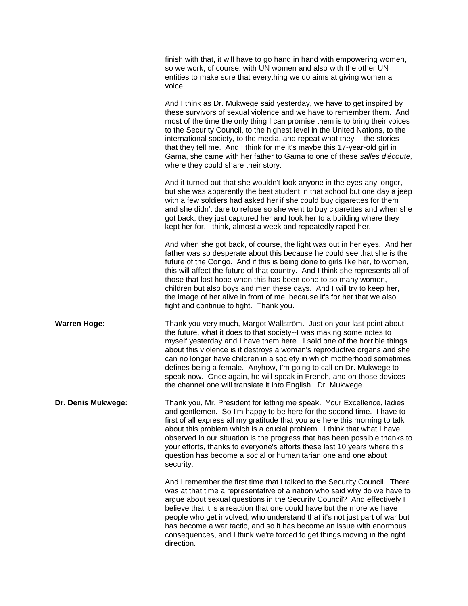|                     | finish with that, it will have to go hand in hand with empowering women,<br>so we work, of course, with UN women and also with the other UN<br>entities to make sure that everything we do aims at giving women a<br>voice.                                                                                                                                                                                                                                                                                                                                                                   |
|---------------------|-----------------------------------------------------------------------------------------------------------------------------------------------------------------------------------------------------------------------------------------------------------------------------------------------------------------------------------------------------------------------------------------------------------------------------------------------------------------------------------------------------------------------------------------------------------------------------------------------|
|                     | And I think as Dr. Mukwege said yesterday, we have to get inspired by<br>these survivors of sexual violence and we have to remember them. And<br>most of the time the only thing I can promise them is to bring their voices<br>to the Security Council, to the highest level in the United Nations, to the<br>international society, to the media, and repeat what they -- the stories<br>that they tell me. And I think for me it's maybe this 17-year-old girl in<br>Gama, she came with her father to Gama to one of these salles d'écoute,<br>where they could share their story.        |
|                     | And it turned out that she wouldn't look anyone in the eyes any longer,<br>but she was apparently the best student in that school but one day a jeep<br>with a few soldiers had asked her if she could buy cigarettes for them<br>and she didn't dare to refuse so she went to buy cigarettes and when she<br>got back, they just captured her and took her to a building where they<br>kept her for, I think, almost a week and repeatedly raped her.                                                                                                                                        |
|                     | And when she got back, of course, the light was out in her eyes. And her<br>father was so desperate about this because he could see that she is the<br>future of the Congo. And if this is being done to girls like her, to women,<br>this will affect the future of that country. And I think she represents all of<br>those that lost hope when this has been done to so many women,<br>children but also boys and men these days. And I will try to keep her,<br>the image of her alive in front of me, because it's for her that we also<br>fight and continue to fight. Thank you.       |
| <b>Warren Hoge:</b> | Thank you very much, Margot Wallström. Just on your last point about<br>the future, what it does to that society--I was making some notes to<br>myself yesterday and I have them here. I said one of the horrible things<br>about this violence is it destroys a woman's reproductive organs and she<br>can no longer have children in a society in which motherhood sometimes<br>defines being a female. Anyhow, I'm going to call on Dr. Mukwege to<br>speak now. Once again, he will speak in French, and on those devices<br>the channel one will translate it into English. Dr. Mukwege. |
| Dr. Denis Mukwege:  | Thank you, Mr. President for letting me speak. Your Excellence, ladies<br>and gentlemen. So I'm happy to be here for the second time. I have to<br>first of all express all my gratitude that you are here this morning to talk<br>about this problem which is a crucial problem. I think that what I have<br>observed in our situation is the progress that has been possible thanks to<br>your efforts, thanks to everyone's efforts these last 10 years where this<br>question has become a social or humanitarian one and one about<br>security.                                          |
|                     | And I remember the first time that I talked to the Security Council. There<br>was at that time a representative of a nation who said why do we have to<br>argue about sexual questions in the Security Council? And effectively I<br>believe that it is a reaction that one could have but the more we have<br>people who get involved, who understand that it's not just part of war but<br>has become a war tactic, and so it has become an issue with enormous<br>consequences, and I think we're forced to get things moving in the right<br>direction.                                   |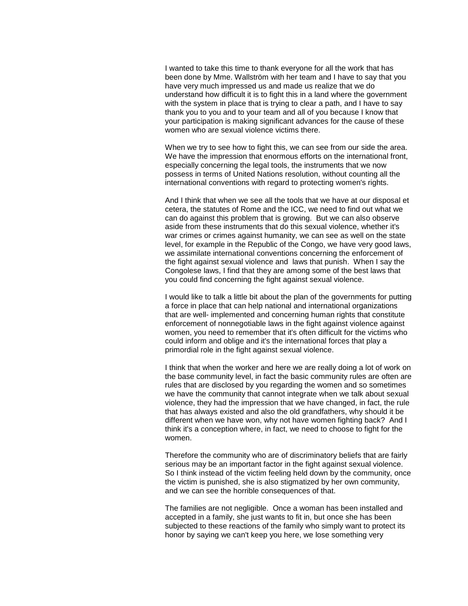I wanted to take this time to thank everyone for all the work that has been done by Mme. Wallström with her team and I have to say that you have very much impressed us and made us realize that we do understand how difficult it is to fight this in a land where the government with the system in place that is trying to clear a path, and I have to say thank you to you and to your team and all of you because I know that your participation is making significant advances for the cause of these women who are sexual violence victims there.

When we try to see how to fight this, we can see from our side the area. We have the impression that enormous efforts on the international front, especially concerning the legal tools, the instruments that we now possess in terms of United Nations resolution, without counting all the international conventions with regard to protecting women's rights.

And I think that when we see all the tools that we have at our disposal et cetera, the statutes of Rome and the ICC, we need to find out what we can do against this problem that is growing. But we can also observe aside from these instruments that do this sexual violence, whether it's war crimes or crimes against humanity, we can see as well on the state level, for example in the Republic of the Congo, we have very good laws, we assimilate international conventions concerning the enforcement of the fight against sexual violence and laws that punish. When I say the Congolese laws, I find that they are among some of the best laws that you could find concerning the fight against sexual violence.

I would like to talk a little bit about the plan of the governments for putting a force in place that can help national and international organizations that are well- implemented and concerning human rights that constitute enforcement of nonnegotiable laws in the fight against violence against women, you need to remember that it's often difficult for the victims who could inform and oblige and it's the international forces that play a primordial role in the fight against sexual violence.

I think that when the worker and here we are really doing a lot of work on the base community level, in fact the basic community rules are often are rules that are disclosed by you regarding the women and so sometimes we have the community that cannot integrate when we talk about sexual violence, they had the impression that we have changed, in fact, the rule that has always existed and also the old grandfathers, why should it be different when we have won, why not have women fighting back? And I think it's a conception where, in fact, we need to choose to fight for the women.

Therefore the community who are of discriminatory beliefs that are fairly serious may be an important factor in the fight against sexual violence. So I think instead of the victim feeling held down by the community, once the victim is punished, she is also stigmatized by her own community, and we can see the horrible consequences of that.

The families are not negligible. Once a woman has been installed and accepted in a family, she just wants to fit in, but once she has been subjected to these reactions of the family who simply want to protect its honor by saying we can't keep you here, we lose something very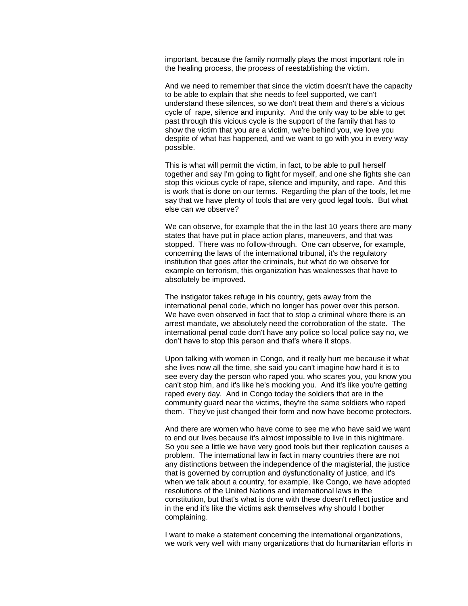important, because the family normally plays the most important role in the healing process, the process of reestablishing the victim.

And we need to remember that since the victim doesn't have the capacity to be able to explain that she needs to feel supported, we can't understand these silences, so we don't treat them and there's a vicious cycle of rape, silence and impunity. And the only way to be able to get past through this vicious cycle is the support of the family that has to show the victim that you are a victim, we're behind you, we love you despite of what has happened, and we want to go with you in every way possible.

This is what will permit the victim, in fact, to be able to pull herself together and say I'm going to fight for myself, and one she fights she can stop this vicious cycle of rape, silence and impunity, and rape. And this is work that is done on our terms. Regarding the plan of the tools, let me say that we have plenty of tools that are very good legal tools. But what else can we observe?

We can observe, for example that the in the last 10 years there are many states that have put in place action plans, maneuvers, and that was stopped. There was no follow-through. One can observe, for example, concerning the laws of the international tribunal, it's the regulatory institution that goes after the criminals, but what do we observe for example on terrorism, this organization has weaknesses that have to absolutely be improved.

The instigator takes refuge in his country, gets away from the international penal code, which no longer has power over this person. We have even observed in fact that to stop a criminal where there is an arrest mandate, we absolutely need the corroboration of the state. The international penal code don't have any police so local police say no, we don't have to stop this person and that's where it stops.

Upon talking with women in Congo, and it really hurt me because it what she lives now all the time, she said you can't imagine how hard it is to see every day the person who raped you, who scares you, you know you can't stop him, and it's like he's mocking you. And it's like you're getting raped every day. And in Congo today the soldiers that are in the community guard near the victims, they're the same soldiers who raped them. They've just changed their form and now have become protectors.

And there are women who have come to see me who have said we want to end our lives because it's almost impossible to live in this nightmare. So you see a little we have very good tools but their replication causes a problem. The international law in fact in many countries there are not any distinctions between the independence of the magisterial, the justice that is governed by corruption and dysfunctionality of justice, and it's when we talk about a country, for example, like Congo, we have adopted resolutions of the United Nations and international laws in the constitution, but that's what is done with these doesn't reflect justice and in the end it's like the victims ask themselves why should I bother complaining.

I want to make a statement concerning the international organizations, we work very well with many organizations that do humanitarian efforts in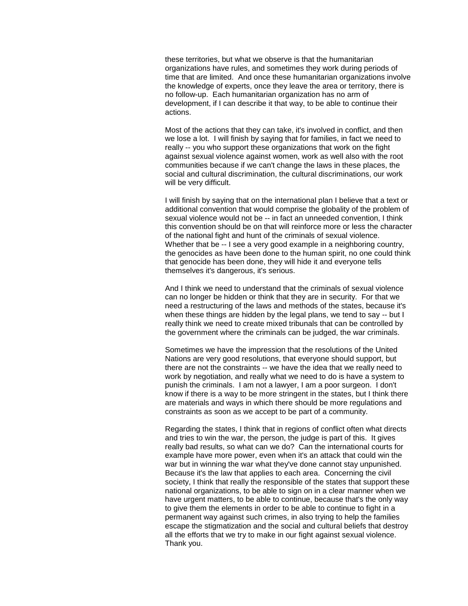these territories, but what we observe is that the humanitarian organizations have rules, and sometimes they work during periods of time that are limited. And once these humanitarian organizations involve the knowledge of experts, once they leave the area or territory, there is no follow-up. Each humanitarian organization has no arm of development, if I can describe it that way, to be able to continue their actions.

Most of the actions that they can take, it's involved in conflict, and then we lose a lot. I will finish by saying that for families, in fact we need to really -- you who support these organizations that work on the fight against sexual violence against women, work as well also with the root communities because if we can't change the laws in these places, the social and cultural discrimination, the cultural discriminations, our work will be very difficult.

I will finish by saying that on the international plan I believe that a text or additional convention that would comprise the globality of the problem of sexual violence would not be -- in fact an unneeded convention, I think this convention should be on that will reinforce more or less the character of the national fight and hunt of the criminals of sexual violence. Whether that be -- I see a very good example in a neighboring country, the genocides as have been done to the human spirit, no one could think that genocide has been done, they will hide it and everyone tells themselves it's dangerous, it's serious.

And I think we need to understand that the criminals of sexual violence can no longer be hidden or think that they are in security. For that we need a restructuring of the laws and methods of the states, because it's when these things are hidden by the legal plans, we tend to say -- but I really think we need to create mixed tribunals that can be controlled by the government where the criminals can be judged, the war criminals.

Sometimes we have the impression that the resolutions of the United Nations are very good resolutions, that everyone should support, but there are not the constraints -- we have the idea that we really need to work by negotiation, and really what we need to do is have a system to punish the criminals. I am not a lawyer, I am a poor surgeon. I don't know if there is a way to be more stringent in the states, but I think there are materials and ways in which there should be more regulations and constraints as soon as we accept to be part of a community.

Regarding the states, I think that in regions of conflict often what directs and tries to win the war, the person, the judge is part of this. It gives really bad results, so what can we do? Can the international courts for example have more power, even when it's an attack that could win the war but in winning the war what they've done cannot stay unpunished. Because it's the law that applies to each area. Concerning the civil society, I think that really the responsible of the states that support these national organizations, to be able to sign on in a clear manner when we have urgent matters, to be able to continue, because that's the only way to give them the elements in order to be able to continue to fight in a permanent way against such crimes, in also trying to help the families escape the stigmatization and the social and cultural beliefs that destroy all the efforts that we try to make in our fight against sexual violence. Thank you.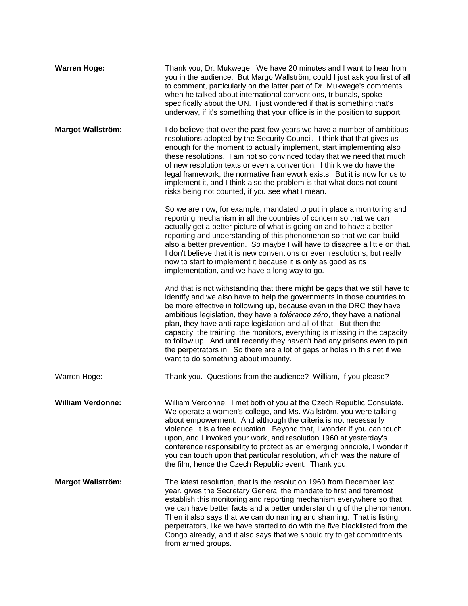| <b>Warren Hoge:</b>      | Thank you, Dr. Mukwege. We have 20 minutes and I want to hear from<br>you in the audience. But Margo Wallström, could I just ask you first of all<br>to comment, particularly on the latter part of Dr. Mukwege's comments<br>when he talked about international conventions, tribunals, spoke<br>specifically about the UN. I just wondered if that is something that's<br>underway, if it's something that your office is in the position to support.                                                                                                                                                                                                            |
|--------------------------|--------------------------------------------------------------------------------------------------------------------------------------------------------------------------------------------------------------------------------------------------------------------------------------------------------------------------------------------------------------------------------------------------------------------------------------------------------------------------------------------------------------------------------------------------------------------------------------------------------------------------------------------------------------------|
| <b>Margot Wallström:</b> | I do believe that over the past few years we have a number of ambitious<br>resolutions adopted by the Security Council. I think that that gives us<br>enough for the moment to actually implement, start implementing also<br>these resolutions. I am not so convinced today that we need that much<br>of new resolution texts or even a convention. I think we do have the<br>legal framework, the normative framework exists. But it is now for us to<br>implement it, and I think also the problem is that what does not count<br>risks being not counted, if you see what I mean.                                                                              |
|                          | So we are now, for example, mandated to put in place a monitoring and<br>reporting mechanism in all the countries of concern so that we can<br>actually get a better picture of what is going on and to have a better<br>reporting and understanding of this phenomenon so that we can build<br>also a better prevention. So maybe I will have to disagree a little on that.<br>I don't believe that it is new conventions or even resolutions, but really<br>now to start to implement it because it is only as good as its<br>implementation, and we have a long way to go.                                                                                      |
|                          | And that is not withstanding that there might be gaps that we still have to<br>identify and we also have to help the governments in those countries to<br>be more effective in following up, because even in the DRC they have<br>ambitious legislation, they have a tolérance zéro, they have a national<br>plan, they have anti-rape legislation and all of that. But then the<br>capacity, the training, the monitors, everything is missing in the capacity<br>to follow up. And until recently they haven't had any prisons even to put<br>the perpetrators in. So there are a lot of gaps or holes in this net if we<br>want to do something about impunity. |
| Warren Hoge:             | Thank you. Questions from the audience? William, if you please?                                                                                                                                                                                                                                                                                                                                                                                                                                                                                                                                                                                                    |
| <b>William Verdonne:</b> | William Verdonne. I met both of you at the Czech Republic Consulate.<br>We operate a women's college, and Ms. Wallström, you were talking<br>about empowerment. And although the criteria is not necessarily<br>violence, it is a free education. Beyond that, I wonder if you can touch<br>upon, and I invoked your work, and resolution 1960 at yesterday's<br>conference responsibility to protect as an emerging principle, I wonder if<br>you can touch upon that particular resolution, which was the nature of<br>the film, hence the Czech Republic event. Thank you.                                                                                      |
| <b>Margot Wallström:</b> | The latest resolution, that is the resolution 1960 from December last<br>year, gives the Secretary General the mandate to first and foremost<br>establish this monitoring and reporting mechanism everywhere so that<br>we can have better facts and a better understanding of the phenomenon.<br>Then it also says that we can do naming and shaming. That is listing<br>perpetrators, like we have started to do with the five blacklisted from the<br>Congo already, and it also says that we should try to get commitments<br>from armed groups.                                                                                                               |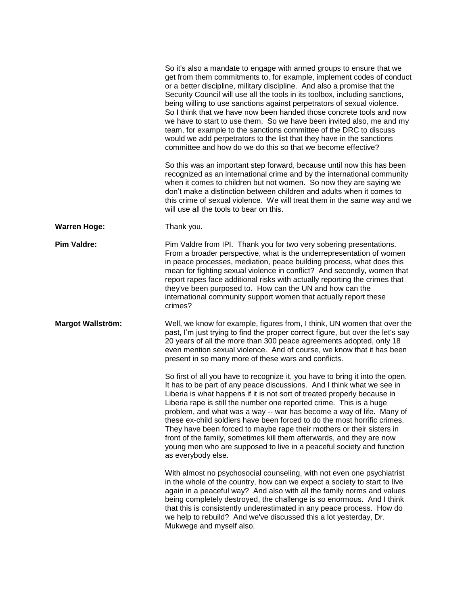|                          | So it's also a mandate to engage with armed groups to ensure that we<br>get from them commitments to, for example, implement codes of conduct<br>or a better discipline, military discipline. And also a promise that the<br>Security Council will use all the tools in its toolbox, including sanctions,<br>being willing to use sanctions against perpetrators of sexual violence.<br>So I think that we have now been handed those concrete tools and now<br>we have to start to use them. So we have been invited also, me and my<br>team, for example to the sanctions committee of the DRC to discuss<br>would we add perpetrators to the list that they have in the sanctions<br>committee and how do we do this so that we become effective? |
|--------------------------|------------------------------------------------------------------------------------------------------------------------------------------------------------------------------------------------------------------------------------------------------------------------------------------------------------------------------------------------------------------------------------------------------------------------------------------------------------------------------------------------------------------------------------------------------------------------------------------------------------------------------------------------------------------------------------------------------------------------------------------------------|
|                          | So this was an important step forward, because until now this has been<br>recognized as an international crime and by the international community<br>when it comes to children but not women. So now they are saying we<br>don't make a distinction between children and adults when it comes to<br>this crime of sexual violence. We will treat them in the same way and we<br>will use all the tools to bear on this.                                                                                                                                                                                                                                                                                                                              |
| <b>Warren Hoge:</b>      | Thank you.                                                                                                                                                                                                                                                                                                                                                                                                                                                                                                                                                                                                                                                                                                                                           |
| <b>Pim Valdre:</b>       | Pim Valdre from IPI. Thank you for two very sobering presentations.<br>From a broader perspective, what is the underrepresentation of women<br>in peace processes, mediation, peace building process, what does this<br>mean for fighting sexual violence in conflict? And secondly, women that<br>report rapes face additional risks with actually reporting the crimes that<br>they've been purposed to. How can the UN and how can the<br>international community support women that actually report these<br>crimes?                                                                                                                                                                                                                             |
| <b>Margot Wallström:</b> | Well, we know for example, figures from, I think, UN women that over the<br>past, I'm just trying to find the proper correct figure, but over the let's say<br>20 years of all the more than 300 peace agreements adopted, only 18<br>even mention sexual violence. And of course, we know that it has been<br>present in so many more of these wars and conflicts.                                                                                                                                                                                                                                                                                                                                                                                  |
|                          | So first of all you have to recognize it, you have to bring it into the open.<br>It has to be part of any peace discussions. And I think what we see in<br>Liberia is what happens if it is not sort of treated properly because in<br>Liberia rape is still the number one reported crime. This is a huge<br>problem, and what was a way -- war has become a way of life. Many of<br>these ex-child soldiers have been forced to do the most horrific crimes.<br>They have been forced to maybe rape their mothers or their sisters in<br>front of the family, sometimes kill them afterwards, and they are now<br>young men who are supposed to live in a peaceful society and function<br>as everybody else.                                      |
|                          | With almost no psychosocial counseling, with not even one psychiatrist<br>in the whole of the country, how can we expect a society to start to live<br>again in a peaceful way? And also with all the family norms and values<br>being completely destroyed, the challenge is so enormous. And I think<br>that this is consistently underestimated in any peace process. How do<br>we help to rebuild? And we've discussed this a lot yesterday, Dr.<br>Mukwege and myself also.                                                                                                                                                                                                                                                                     |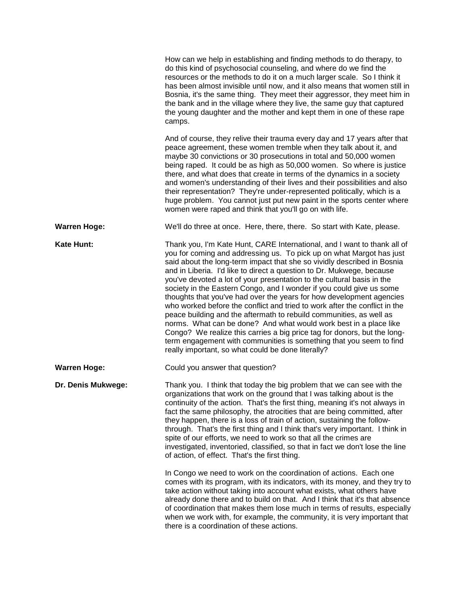|                     | How can we help in establishing and finding methods to do therapy, to<br>do this kind of psychosocial counseling, and where do we find the<br>resources or the methods to do it on a much larger scale. So I think it<br>has been almost invisible until now, and it also means that women still in<br>Bosnia, it's the same thing. They meet their aggressor, they meet him in<br>the bank and in the village where they live, the same guy that captured<br>the young daughter and the mother and kept them in one of these rape<br>camps.                                                                                                                                                                                                                                                                                                                                                                                                                      |
|---------------------|-------------------------------------------------------------------------------------------------------------------------------------------------------------------------------------------------------------------------------------------------------------------------------------------------------------------------------------------------------------------------------------------------------------------------------------------------------------------------------------------------------------------------------------------------------------------------------------------------------------------------------------------------------------------------------------------------------------------------------------------------------------------------------------------------------------------------------------------------------------------------------------------------------------------------------------------------------------------|
|                     | And of course, they relive their trauma every day and 17 years after that<br>peace agreement, these women tremble when they talk about it, and<br>maybe 30 convictions or 30 prosecutions in total and 50,000 women<br>being raped. It could be as high as 50,000 women. So where is justice<br>there, and what does that create in terms of the dynamics in a society<br>and women's understanding of their lives and their possibilities and also<br>their representation? They're under-represented politically, which is a<br>huge problem. You cannot just put new paint in the sports center where<br>women were raped and think that you'll go on with life.                                                                                                                                                                                                                                                                                               |
| <b>Warren Hoge:</b> | We'll do three at once. Here, there, there. So start with Kate, please.                                                                                                                                                                                                                                                                                                                                                                                                                                                                                                                                                                                                                                                                                                                                                                                                                                                                                           |
| <b>Kate Hunt:</b>   | Thank you, I'm Kate Hunt, CARE International, and I want to thank all of<br>you for coming and addressing us. To pick up on what Margot has just<br>said about the long-term impact that she so vividly described in Bosnia<br>and in Liberia. I'd like to direct a question to Dr. Mukwege, because<br>you've devoted a lot of your presentation to the cultural basis in the<br>society in the Eastern Congo, and I wonder if you could give us some<br>thoughts that you've had over the years for how development agencies<br>who worked before the conflict and tried to work after the conflict in the<br>peace building and the aftermath to rebuild communities, as well as<br>norms. What can be done? And what would work best in a place like<br>Congo? We realize this carries a big price tag for donors, but the long-<br>term engagement with communities is something that you seem to find<br>really important, so what could be done literally? |
| <b>Warren Hoge:</b> | Could you answer that question?                                                                                                                                                                                                                                                                                                                                                                                                                                                                                                                                                                                                                                                                                                                                                                                                                                                                                                                                   |
| Dr. Denis Mukwege:  | Thank you. I think that today the big problem that we can see with the<br>organizations that work on the ground that I was talking about is the<br>continuity of the action. That's the first thing, meaning it's not always in<br>fact the same philosophy, the atrocities that are being committed, after<br>they happen, there is a loss of train of action, sustaining the follow-<br>through. That's the first thing and I think that's very important. I think in<br>spite of our efforts, we need to work so that all the crimes are<br>investigated, inventoried, classified, so that in fact we don't lose the line<br>of action, of effect. That's the first thing.                                                                                                                                                                                                                                                                                     |
|                     | In Congo we need to work on the coordination of actions. Each one<br>comes with its program, with its indicators, with its money, and they try to<br>take action without taking into account what exists, what others have<br>already done there and to build on that. And I think that it's that absence<br>of coordination that makes them lose much in terms of results, especially<br>when we work with, for example, the community, it is very important that<br>there is a coordination of these actions.                                                                                                                                                                                                                                                                                                                                                                                                                                                   |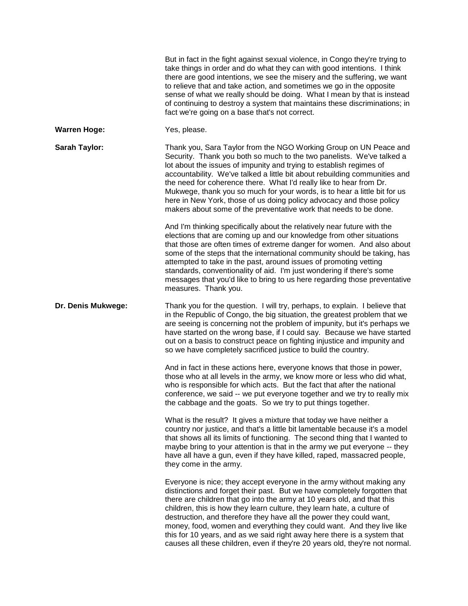|                     | But in fact in the fight against sexual violence, in Congo they're trying to<br>take things in order and do what they can with good intentions. I think<br>there are good intentions, we see the misery and the suffering, we want<br>to relieve that and take action, and sometimes we go in the opposite<br>sense of what we really should be doing. What I mean by that is instead<br>of continuing to destroy a system that maintains these discriminations; in<br>fact we're going on a base that's not correct.                                                                                                |
|---------------------|----------------------------------------------------------------------------------------------------------------------------------------------------------------------------------------------------------------------------------------------------------------------------------------------------------------------------------------------------------------------------------------------------------------------------------------------------------------------------------------------------------------------------------------------------------------------------------------------------------------------|
| <b>Warren Hoge:</b> | Yes, please.                                                                                                                                                                                                                                                                                                                                                                                                                                                                                                                                                                                                         |
| Sarah Taylor:       | Thank you, Sara Taylor from the NGO Working Group on UN Peace and<br>Security. Thank you both so much to the two panelists. We've talked a<br>lot about the issues of impunity and trying to establish regimes of<br>accountability. We've talked a little bit about rebuilding communities and<br>the need for coherence there. What I'd really like to hear from Dr.<br>Mukwege, thank you so much for your words, is to hear a little bit for us<br>here in New York, those of us doing policy advocacy and those policy<br>makers about some of the preventative work that needs to be done.                     |
|                     | And I'm thinking specifically about the relatively near future with the<br>elections that are coming up and our knowledge from other situations<br>that those are often times of extreme danger for women. And also about<br>some of the steps that the international community should be taking, has<br>attempted to take in the past, around issues of promoting vetting<br>standards, conventionality of aid. I'm just wondering if there's some<br>messages that you'd like to bring to us here regarding those preventative<br>measures. Thank you.                                                             |
| Dr. Denis Mukwege:  | Thank you for the question. I will try, perhaps, to explain. I believe that<br>in the Republic of Congo, the big situation, the greatest problem that we<br>are seeing is concerning not the problem of impunity, but it's perhaps we<br>have started on the wrong base, if I could say. Because we have started<br>out on a basis to construct peace on fighting injustice and impunity and<br>so we have completely sacrificed justice to build the country.                                                                                                                                                       |
|                     | And in fact in these actions here, everyone knows that those in power,<br>those who at all levels in the army, we know more or less who did what,<br>who is responsible for which acts. But the fact that after the national<br>conference, we said -- we put everyone together and we try to really mix<br>the cabbage and the goats. So we try to put things together.                                                                                                                                                                                                                                             |
|                     | What is the result? It gives a mixture that today we have neither a<br>country nor justice, and that's a little bit lamentable because it's a model<br>that shows all its limits of functioning. The second thing that I wanted to<br>maybe bring to your attention is that in the army we put everyone -- they<br>have all have a gun, even if they have killed, raped, massacred people,<br>they come in the army.                                                                                                                                                                                                 |
|                     | Everyone is nice; they accept everyone in the army without making any<br>distinctions and forget their past. But we have completely forgotten that<br>there are children that go into the army at 10 years old, and that this<br>children, this is how they learn culture, they learn hate, a culture of<br>destruction, and therefore they have all the power they could want,<br>money, food, women and everything they could want. And they live like<br>this for 10 years, and as we said right away here there is a system that<br>causes all these children, even if they're 20 years old, they're not normal. |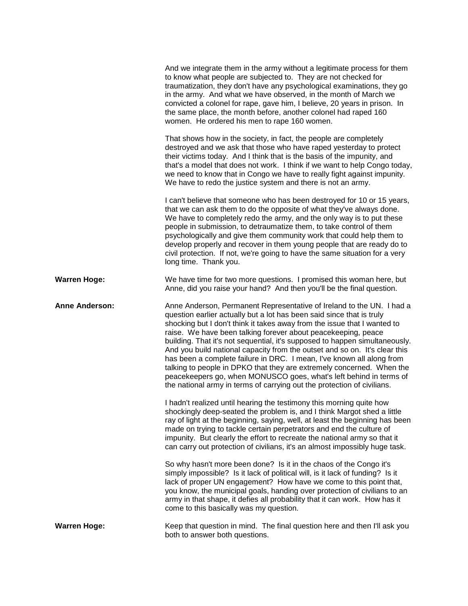|                       | And we integrate them in the army without a legitimate process for them<br>to know what people are subjected to. They are not checked for<br>traumatization, they don't have any psychological examinations, they go<br>in the army. And what we have observed, in the month of March we<br>convicted a colonel for rape, gave him, I believe, 20 years in prison. In<br>the same place, the month before, another colonel had raped 160<br>women. He ordered his men to rape 160 women.                                                                                                                                                                                                                                                                    |
|-----------------------|-------------------------------------------------------------------------------------------------------------------------------------------------------------------------------------------------------------------------------------------------------------------------------------------------------------------------------------------------------------------------------------------------------------------------------------------------------------------------------------------------------------------------------------------------------------------------------------------------------------------------------------------------------------------------------------------------------------------------------------------------------------|
|                       | That shows how in the society, in fact, the people are completely<br>destroyed and we ask that those who have raped yesterday to protect<br>their victims today. And I think that is the basis of the impunity, and<br>that's a model that does not work. I think if we want to help Congo today,<br>we need to know that in Congo we have to really fight against impunity.<br>We have to redo the justice system and there is not an army.                                                                                                                                                                                                                                                                                                                |
|                       | I can't believe that someone who has been destroyed for 10 or 15 years,<br>that we can ask them to do the opposite of what they've always done.<br>We have to completely redo the army, and the only way is to put these<br>people in submission, to detraumatize them, to take control of them<br>psychologically and give them community work that could help them to<br>develop properly and recover in them young people that are ready do to<br>civil protection. If not, we're going to have the same situation for a very<br>long time. Thank you.                                                                                                                                                                                                   |
| <b>Warren Hoge:</b>   | We have time for two more questions. I promised this woman here, but<br>Anne, did you raise your hand? And then you'll be the final question.                                                                                                                                                                                                                                                                                                                                                                                                                                                                                                                                                                                                               |
|                       |                                                                                                                                                                                                                                                                                                                                                                                                                                                                                                                                                                                                                                                                                                                                                             |
| <b>Anne Anderson:</b> | Anne Anderson, Permanent Representative of Ireland to the UN. I had a<br>question earlier actually but a lot has been said since that is truly<br>shocking but I don't think it takes away from the issue that I wanted to<br>raise. We have been talking forever about peacekeeping, peace<br>building. That it's not sequential, it's supposed to happen simultaneously.<br>And you build national capacity from the outset and so on. It's clear this<br>has been a complete failure in DRC. I mean, I've known all along from<br>talking to people in DPKO that they are extremely concerned. When the<br>peacekeepers go, when MONUSCO goes, what's left behind in terms of<br>the national army in terms of carrying out the protection of civilians. |
|                       | I hadn't realized until hearing the testimony this morning quite how<br>shockingly deep-seated the problem is, and I think Margot shed a little<br>ray of light at the beginning, saying, well, at least the beginning has been<br>made on trying to tackle certain perpetrators and end the culture of<br>impunity. But clearly the effort to recreate the national army so that it<br>can carry out protection of civilians, it's an almost impossibly huge task.                                                                                                                                                                                                                                                                                         |
|                       | So why hasn't more been done? Is it in the chaos of the Congo it's<br>simply impossible? Is it lack of political will, is it lack of funding? Is it<br>lack of proper UN engagement? How have we come to this point that,<br>you know, the municipal goals, handing over protection of civilians to an<br>army in that shape, it defies all probability that it can work. How has it<br>come to this basically was my question.                                                                                                                                                                                                                                                                                                                             |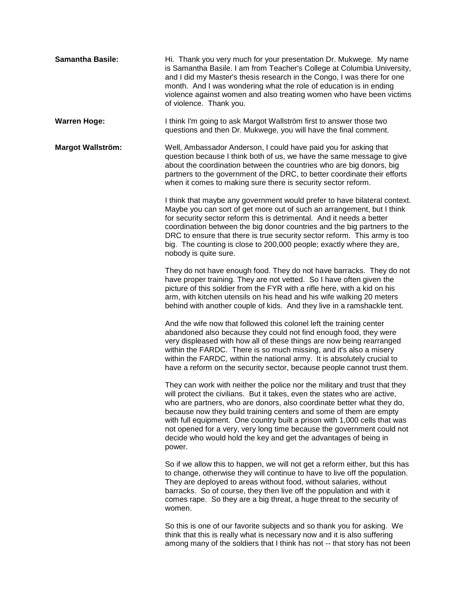| <b>Samantha Basile:</b>  | Hi. Thank you very much for your presentation Dr. Mukwege. My name<br>is Samantha Basile. I am from Teacher's College at Columbia University,<br>and I did my Master's thesis research in the Congo, I was there for one<br>month. And I was wondering what the role of education is in ending<br>violence against women and also treating women who have been victims<br>of violence. Thank you.                                                                                                                                            |
|--------------------------|----------------------------------------------------------------------------------------------------------------------------------------------------------------------------------------------------------------------------------------------------------------------------------------------------------------------------------------------------------------------------------------------------------------------------------------------------------------------------------------------------------------------------------------------|
| <b>Warren Hoge:</b>      | I think I'm going to ask Margot Wallström first to answer those two<br>questions and then Dr. Mukwege, you will have the final comment.                                                                                                                                                                                                                                                                                                                                                                                                      |
| <b>Margot Wallström:</b> | Well, Ambassador Anderson, I could have paid you for asking that<br>question because I think both of us, we have the same message to give<br>about the coordination between the countries who are big donors, big<br>partners to the government of the DRC, to better coordinate their efforts<br>when it comes to making sure there is security sector reform.                                                                                                                                                                              |
|                          | I think that maybe any government would prefer to have bilateral context.<br>Maybe you can sort of get more out of such an arrangement, but I think<br>for security sector reform this is detrimental. And it needs a better<br>coordination between the big donor countries and the big partners to the<br>DRC to ensure that there is true security sector reform. This army is too<br>big. The counting is close to 200,000 people; exactly where they are,<br>nobody is quite sure.                                                      |
|                          | They do not have enough food. They do not have barracks. They do not<br>have proper training. They are not vetted. So I have often given the<br>picture of this soldier from the FYR with a rifle here, with a kid on his<br>arm, with kitchen utensils on his head and his wife walking 20 meters<br>behind with another couple of kids. And they live in a ramshackle tent.                                                                                                                                                                |
|                          | And the wife now that followed this colonel left the training center<br>abandoned also because they could not find enough food, they were<br>very displeased with how all of these things are now being rearranged<br>within the FARDC. There is so much missing, and it's also a misery<br>within the FARDC, within the national army. It is absolutely crucial to<br>have a reform on the security sector, because people cannot trust them.                                                                                               |
|                          | They can work with neither the police nor the military and trust that they<br>will protect the civilians. But it takes, even the states who are active,<br>who are partners, who are donors, also coordinate better what they do,<br>because now they build training centers and some of them are empty<br>with full equipment. One country built a prison with 1,000 cells that was<br>not opened for a very, very long time because the government could not<br>decide who would hold the key and get the advantages of being in<br>power. |
|                          | So if we allow this to happen, we will not get a reform either, but this has<br>to change, otherwise they will continue to have to live off the population.<br>They are deployed to areas without food, without salaries, without<br>barracks. So of course, they then live off the population and with it<br>comes rape. So they are a big threat, a huge threat to the security of<br>women.                                                                                                                                               |
|                          | So this is one of our favorite subjects and so thank you for asking. We<br>think that this is really what is necessary now and it is also suffering<br>among many of the soldiers that I think has not -- that story has not been                                                                                                                                                                                                                                                                                                            |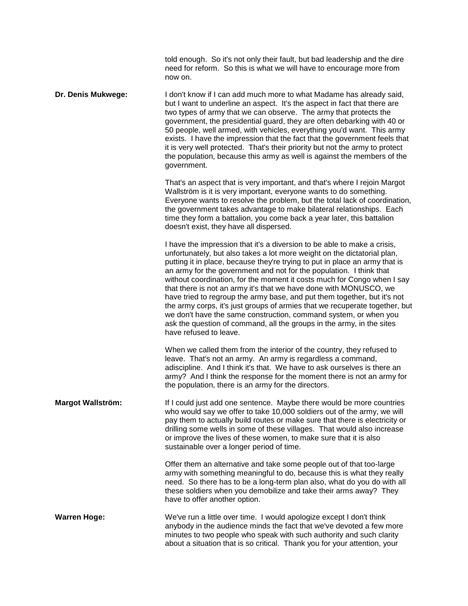told enough. So it's not only their fault, but bad leadership and the dire need for reform. So this is what we will have to encourage more from now on.

**Dr. Denis Mukwege:** I don't know if I can add much more to what Madame has already said, but I want to underline an aspect. It's the aspect in fact that there are two types of army that we can observe. The army that protects the government, the presidential guard, they are often debarking with 40 or 50 people, well armed, with vehicles, everything you'd want. This army exists. I have the impression that the fact that the government feels that it is very well protected. That's their priority but not the army to protect the population, because this army as well is against the members of the government.

> That's an aspect that is very important, and that's where I rejoin Margot Wallström is it is very important, everyone wants to do something. Everyone wants to resolve the problem, but the total lack of coordination, the government takes advantage to make bilateral relationships. Each time they form a battalion, you come back a year later, this battalion doesn't exist, they have all dispersed.

> I have the impression that it's a diversion to be able to make a crisis, unfortunately, but also takes a lot more weight on the dictatorial plan, putting it in place, because they're trying to put in place an army that is an army for the government and not for the population. I think that without coordination, for the moment it costs much for Congo when I say that there is not an army it's that we have done with MONUSCO, we have tried to regroup the army base, and put them together, but it's not the army corps, it's just groups of armies that we recuperate together, but we don't have the same construction, command system, or when you ask the question of command, all the groups in the army, in the sites have refused to leave.

When we called them from the interior of the country, they refused to leave. That's not an army. An army is regardless a command, adiscipline. And I think it's that. We have to ask ourselves is there an army? And I think the response for the moment there is not an army for the population, there is an army for the directors.

**Margot Wallström:** If I could just add one sentence. Maybe there would be more countries who would say we offer to take 10,000 soldiers out of the army, we will pay them to actually build routes or make sure that there is electricity or drilling some wells in some of these villages. That would also increase or improve the lives of these women, to make sure that it is also sustainable over a longer period of time.

> Offer them an alternative and take some people out of that too-large army with something meaningful to do, because this is what they really need. So there has to be a long-term plan also, what do you do with all these soldiers when you demobilize and take their arms away? They have to offer another option.

**Warren Hoge:** We've run a little over time. I would apologize except I don't think anybody in the audience minds the fact that we've devoted a few more minutes to two people who speak with such authority and such clarity about a situation that is so critical. Thank you for your attention, your